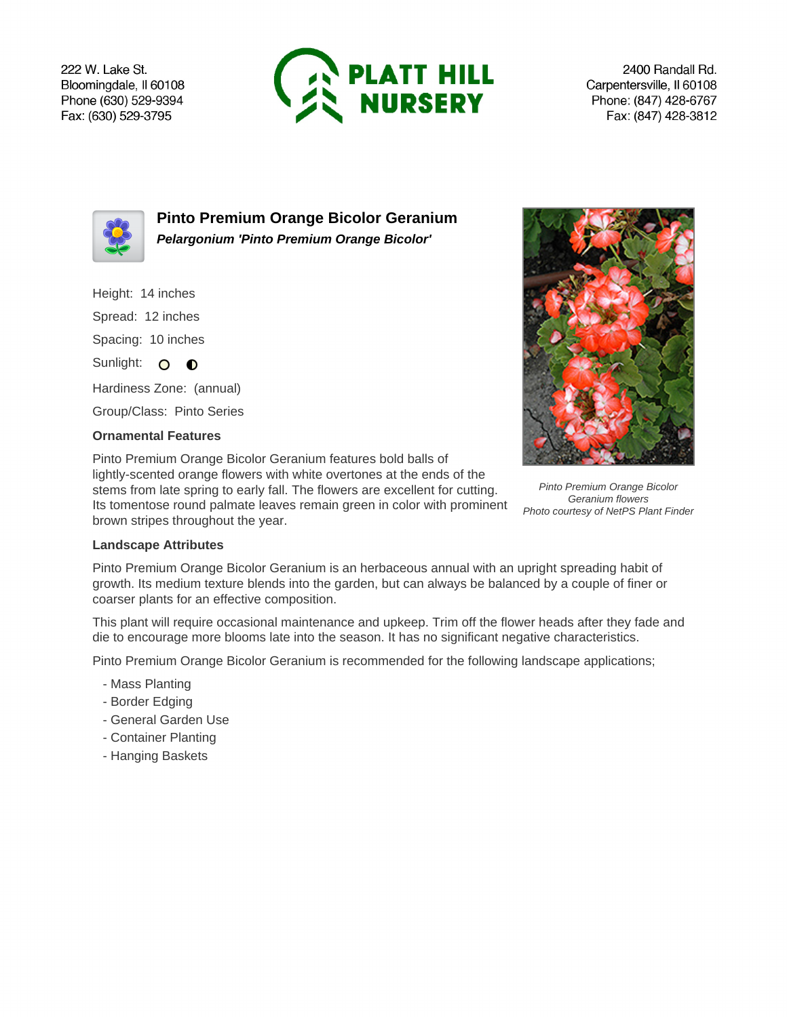222 W. Lake St. Bloomingdale, Il 60108 Phone (630) 529-9394 Fax: (630) 529-3795



2400 Randall Rd. Carpentersville, Il 60108 Phone: (847) 428-6767 Fax: (847) 428-3812



**Pinto Premium Orange Bicolor Geranium Pelargonium 'Pinto Premium Orange Bicolor'**

- Height: 14 inches
- Spread: 12 inches

Spacing: 10 inches

Sunlight: O **O** 

Hardiness Zone: (annual)

Group/Class: Pinto Series

## **Ornamental Features**

Pinto Premium Orange Bicolor Geranium features bold balls of lightly-scented orange flowers with white overtones at the ends of the stems from late spring to early fall. The flowers are excellent for cutting. Its tomentose round palmate leaves remain green in color with prominent brown stripes throughout the year.



Pinto Premium Orange Bicolor Geranium flowers Photo courtesy of NetPS Plant Finder

## **Landscape Attributes**

Pinto Premium Orange Bicolor Geranium is an herbaceous annual with an upright spreading habit of growth. Its medium texture blends into the garden, but can always be balanced by a couple of finer or coarser plants for an effective composition.

This plant will require occasional maintenance and upkeep. Trim off the flower heads after they fade and die to encourage more blooms late into the season. It has no significant negative characteristics.

Pinto Premium Orange Bicolor Geranium is recommended for the following landscape applications;

- Mass Planting
- Border Edging
- General Garden Use
- Container Planting
- Hanging Baskets